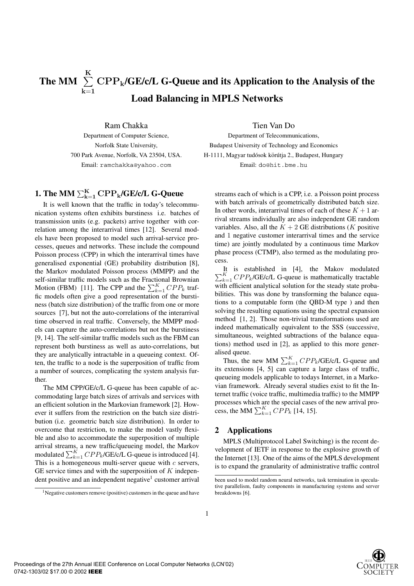## The MM  $\ \sum$ **K k**=**1 CPPk/GE/c/L G-Queue and its Application to the Analysis of the Load Balancing in MPLS Networks**

Ram Chakka Department of Computer Science, Norfolk State University, 700 Park Avenue, Norfolk, VA 23504, USA. Email: ramchakka@yahoo.com

## ${\bf 1.}$  The MM  $\sum_{\rm k=1}^{\rm K} {\rm CPP}_{\rm k}$ /GE/c/L G-Queue

It is well known that the traffic in today's telecommunication systems often exhibits burstiness i.e. batches of transmission units (e.g. packets) arrive together with correlation among the interarrival times [12]. Several models have been proposed to model such arrival-service processes, queues and networks. These include the compound Poisson process (CPP) in which the interarrival times have generalised exponential (GE) probability distribution [8], the Markov modulated Poisson process (MMPP) and the self-similar traffic models such as the Fractional Brownian Motion (FBM) [11]. The CPP and the  $\sum_{k=1}^{K} CPP_k$  traffic models often give a good representation of the burstiness (batch size distribution) of the traffic from one or more sources [7], but not the auto-correlations of the interarrival time observed in real traffic. Conversely, the MMPP models can capture the auto-correlations but not the burstiness [9, 14]. The self-similar traffic models such as the FBM can represent both burstiness as well as auto-correlations, but they are analytically intractable in a queueing context. Often, the traffic to a node is the superposition of traffic from a number of sources, complicating the system analysis further.

The MM CPP/GE/c/L G-queue has been capable of accommodating large batch sizes of arrivals and services with an efficient solution in the Markovian framework [2]. However it suffers from the restriction on the batch size distribution (i.e. geometric batch size distribution). In order to overcome that restriction, to make the model vastly flexible and also to accommodate the superposition of multiple arrival streams, a new traffic/queueing model, the Markov modulated  $\sum_{k=1}^{K} CPP_k$ /GE/c/L G-queue is introduced [4]. This is a homogeneous multi-server queue with *c* servers, GE service times and with the superposition of *K* independent positive and an independent negative<sup>1</sup> customer arrival

Tien Van Do

Department of Telecommunications, Budapest University of Technology and Economics H-1111, Magyar tudósok körútja 2., Budapest, Hungary Email: do@hit.bme.hu

streams each of which is a CPP, i.e. a Poisson point process with batch arrivals of geometrically distributed batch size. In other words, interarrival times of each of these  $K + 1$  arrival streams individually are also independent GE random variables. Also, all the  $K + 2$  GE distributions (*K* positive and 1 negative customer interarrival times and the service time) are jointly modulated by a continuous time Markov phase process (CTMP), also termed as the modulating process.

 $\sum_{k=1}^{K} CPP_k$ /GE/c/L G-queue is mathematically tractable It is established in [4], the Makov modulated with efficient analytical solution for the steady state probabilities. This was done by transforming the balance equations to a computable form (the QBD-M type ) and then solving the resulting equations using the spectral expansion method [1, 2]. Those non-trivial transformations used are indeed mathematically equivalent to the SSS (successive, simultaneous, weighted subtractions of the balance equations) method used in [2], as applied to this more generalised queue.

Thus, the new MM  $\sum_{k=1}^{K} CPP_k$ /GE/c/L G-queue and its extensions [4, 5] can capture a large class of traffic, queueing models applicable to todays Internet, in a Markovian framework. Already several studies exist to fit the Internet traffic (voice traffic, multimedia traffic) to the MMPP processes which are the special cases of the new arrival process, the MM  $\sum_{k=1}^{K} CPP_k$  [14, 15].

## **2 Applications**

MPLS (Multiprotocol Label Switching) is the recent development of IETF in response to the explosive growth of the Internet [13]. One of the aims of the MPLS development is to expand the granularity of administrative traffic control



 $<sup>1</sup>$ Negative customers remove (positive) customers in the queue and have</sup>

been used to model random neural networks, task termination in speculative parallelism, faulty components in manufacturing systems and server breakdowns [6].